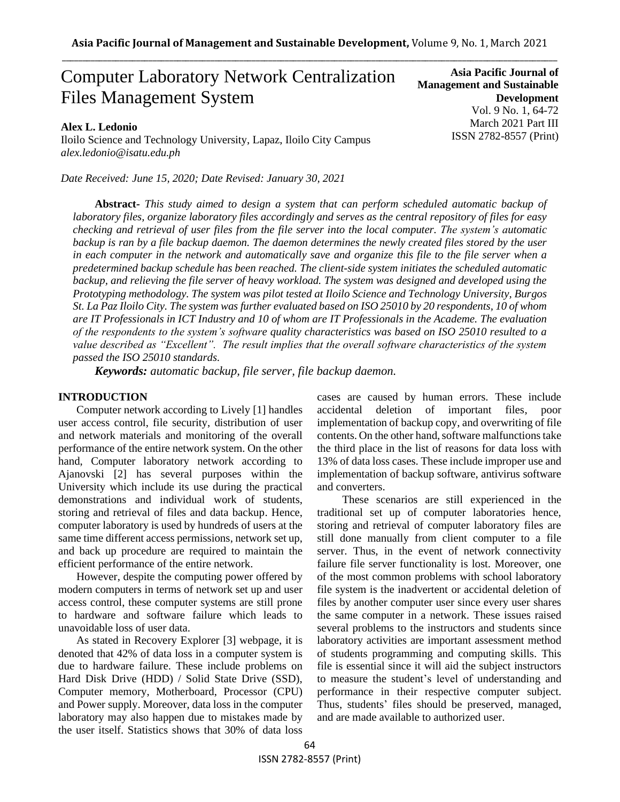# Computer Laboratory Network Centralization Files Management System

### **Alex L. Ledonio**

Iloilo Science and Technology University, Lapaz, Iloilo City Campus *alex.ledonio@isatu.edu.ph*

*Date Received: June 15, 2020; Date Revised: January 30, 2021*

**Asia Pacific Journal of Management and Sustainable Development**  Vol. 9 No. 1, 64-72 March 2021 Part III ISSN 2782-8557 (Print)

**Abstract***- This study aimed to design a system that can perform scheduled automatic backup of laboratory files, organize laboratory files accordingly and serves as the central repository of files for easy checking and retrieval of user files from the file server into the local computer. The system's automatic backup is ran by a file backup daemon. The daemon determines the newly created files stored by the user in each computer in the network and automatically save and organize this file to the file server when a predetermined backup schedule has been reached. The client-side system initiates the scheduled automatic backup, and relieving the file server of heavy workload. The system was designed and developed using the Prototyping methodology. The system was pilot tested at Iloilo Science and Technology University, Burgos St. La Paz Iloilo City. The system was further evaluated based on ISO 25010 by 20 respondents, 10 of whom are IT Professionals in ICT Industry and 10 of whom are IT Professionals in the Academe. The evaluation of the respondents to the system's software quality characteristics was based on ISO 25010 resulted to a value described as "Excellent". The result implies that the overall software characteristics of the system passed the ISO 25010 standards.* 

*Keywords: automatic backup, file server, file backup daemon.*

### **INTRODUCTION**

Computer network according to Lively [1] handles user access control, file security, distribution of user and network materials and monitoring of the overall performance of the entire network system. On the other hand, Computer laboratory network according to Ajanovski [2] has several purposes within the University which include its use during the practical demonstrations and individual work of students, storing and retrieval of files and data backup. Hence, computer laboratory is used by hundreds of users at the same time different access permissions, network set up, and back up procedure are required to maintain the efficient performance of the entire network.

However, despite the computing power offered by modern computers in terms of network set up and user access control, these computer systems are still prone to hardware and software failure which leads to unavoidable loss of user data.

As stated in Recovery Explorer [3] webpage, it is denoted that 42% of data loss in a computer system is due to hardware failure. These include problems on Hard Disk Drive (HDD) / Solid State Drive (SSD), Computer memory, Motherboard, Processor (CPU) and Power supply. Moreover, data loss in the computer laboratory may also happen due to mistakes made by the user itself. Statistics shows that 30% of data loss cases are caused by human errors. These include accidental deletion of important files, poor implementation of backup copy, and overwriting of file contents. On the other hand, software malfunctions take the third place in the list of reasons for data loss with 13% of data loss cases. These include improper use and implementation of backup software, antivirus software and converters.

 These scenarios are still experienced in the traditional set up of computer laboratories hence, storing and retrieval of computer laboratory files are still done manually from client computer to a file server. Thus, in the event of network connectivity failure file server functionality is lost. Moreover, one of the most common problems with school laboratory file system is the inadvertent or accidental deletion of files by another computer user since every user shares the same computer in a network. These issues raised several problems to the instructors and students since laboratory activities are important assessment method of students programming and computing skills. This file is essential since it will aid the subject instructors to measure the student's level of understanding and performance in their respective computer subject. Thus, students' files should be preserved, managed, and are made available to authorized user.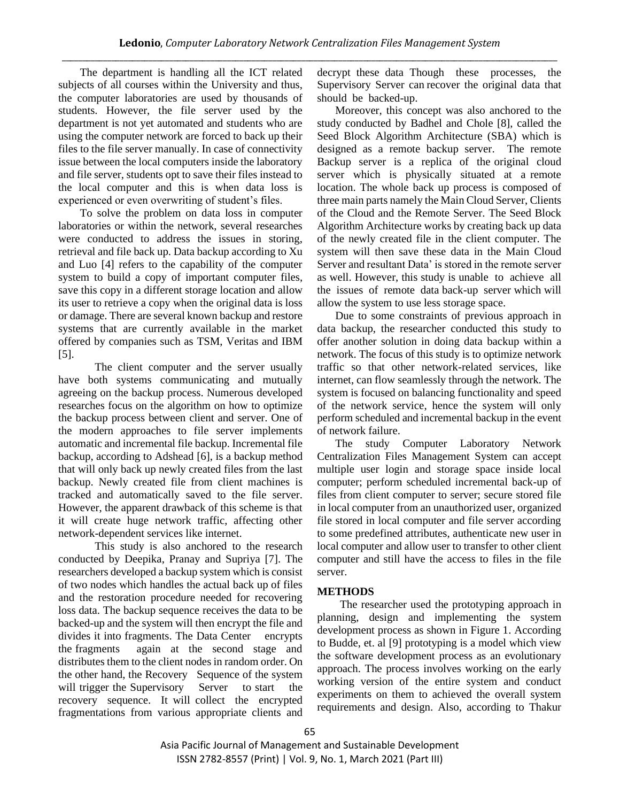The department is handling all the ICT related subjects of all courses within the University and thus, the computer laboratories are used by thousands of students. However, the file server used by the department is not yet automated and students who are using the computer network are forced to back up their files to the file server manually. In case of connectivity issue between the local computers inside the laboratory and file server, students opt to save their files instead to the local computer and this is when data loss is experienced or even overwriting of student's files.

To solve the problem on data loss in computer laboratories or within the network, several researches were conducted to address the issues in storing, retrieval and file back up. Data backup according to Xu and Luo [4] refers to the capability of the computer system to build a copy of important computer files, save this copy in a different storage location and allow its user to retrieve a copy when the original data is loss or damage. There are several known backup and restore systems that are currently available in the market offered by companies such as TSM, Veritas and IBM [5].

The client computer and the server usually have both systems communicating and mutually agreeing on the backup process. Numerous developed researches focus on the algorithm on how to optimize the backup process between client and server. One of the modern approaches to file server implements automatic and incremental file backup. Incremental file backup, according to Adshead [6], is a backup method that will only back up newly created files from the last backup. Newly created file from client machines is tracked and automatically saved to the file server. However, the apparent drawback of this scheme is that it will create huge network traffic, affecting other network-dependent services like internet.

This study is also anchored to the research conducted by Deepika, Pranay and Supriya [7]. The researchers developed a backup system which is consist of two nodes which handles the actual back up of files and the restoration procedure needed for recovering loss data. The backup sequence receives the data to be backed-up and the system will then encrypt the file and divides it into fragments. The Data Center encrypts the fragments again at the second stage and distributes them to the client nodes in random order. On the other hand, the Recovery Sequence of the system will trigger the Supervisory Server to start the recovery sequence. It will collect the encrypted fragmentations from various appropriate clients and decrypt these data Though these processes, the Supervisory Server can recover the original data that should be backed-up.

Moreover, this concept was also anchored to the study conducted by Badhel and Chole [8], called the Seed Block Algorithm Architecture (SBA) which is designed as a remote backup server. The remote Backup server is a replica of the original cloud server which is physically situated at a remote location. The whole back up process is composed of three main parts namely the Main Cloud Server, Clients of the Cloud and the Remote Server. The Seed Block Algorithm Architecture works by creating back up data of the newly created file in the client computer. The system will then save these data in the Main Cloud Server and resultant Data' is stored in the remote server as well. However, this study is unable to achieve all the issues of remote data back-up server which will allow the system to use less storage space.

Due to some constraints of previous approach in data backup, the researcher conducted this study to offer another solution in doing data backup within a network. The focus of this study is to optimize network traffic so that other network-related services, like internet, can flow seamlessly through the network. The system is focused on balancing functionality and speed of the network service, hence the system will only perform scheduled and incremental backup in the event of network failure.

The study Computer Laboratory Network Centralization Files Management System can accept multiple user login and storage space inside local computer; perform scheduled incremental back-up of files from client computer to server; secure stored file in local computer from an unauthorized user, organized file stored in local computer and file server according to some predefined attributes, authenticate new user in local computer and allow user to transfer to other client computer and still have the access to files in the file server.

## **METHODS**

The researcher used the prototyping approach in planning, design and implementing the system development process as shown in Figure 1. According to Budde, et. al [9] prototyping is a model which view the software development process as an evolutionary approach. The process involves working on the early working version of the entire system and conduct experiments on them to achieved the overall system requirements and design. Also, according to Thakur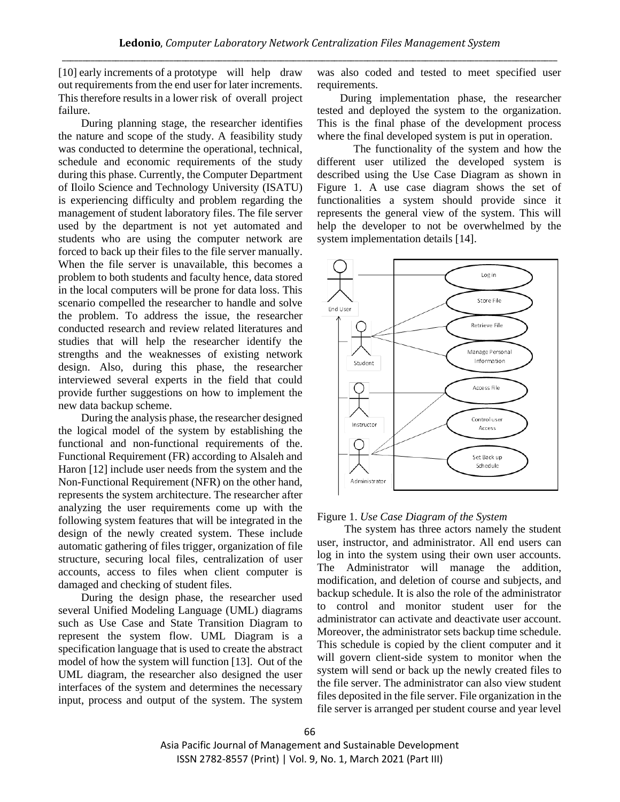[10] early increments of a prototype will help draw out requirements from the end user for later increments. This therefore results in a lower risk of overall project failure.

During planning stage, the researcher identifies the nature and scope of the study. A feasibility study was conducted to determine the operational, technical, schedule and economic requirements of the study during this phase. Currently, the Computer Department of Iloilo Science and Technology University (ISATU) is experiencing difficulty and problem regarding the management of student laboratory files. The file server used by the department is not yet automated and students who are using the computer network are forced to back up their files to the file server manually. When the file server is unavailable, this becomes a problem to both students and faculty hence, data stored in the local computers will be prone for data loss. This scenario compelled the researcher to handle and solve the problem. To address the issue, the researcher conducted research and review related literatures and studies that will help the researcher identify the strengths and the weaknesses of existing network design. Also, during this phase, the researcher interviewed several experts in the field that could provide further suggestions on how to implement the new data backup scheme.

During the analysis phase, the researcher designed the logical model of the system by establishing the functional and non-functional requirements of the. Functional Requirement (FR) according to Alsaleh and Haron [12] include user needs from the system and the Non-Functional Requirement (NFR) on the other hand, represents the system architecture. The researcher after analyzing the user requirements come up with the following system features that will be integrated in the design of the newly created system. These include automatic gathering of files trigger, organization of file structure, securing local files, centralization of user accounts, access to files when client computer is damaged and checking of student files.

During the design phase, the researcher used several Unified Modeling Language (UML) diagrams such as Use Case and State Transition Diagram to represent the system flow. UML Diagram is a specification language that is used to create the abstract model of how the system will function [13]. Out of the UML diagram, the researcher also designed the user interfaces of the system and determines the necessary input, process and output of the system. The system

was also coded and tested to meet specified user requirements.

During implementation phase, the researcher tested and deployed the system to the organization. This is the final phase of the development process where the final developed system is put in operation.

The functionality of the system and how the different user utilized the developed system is described using the Use Case Diagram as shown in Figure 1. A use case diagram shows the set of functionalities a system should provide since it represents the general view of the system. This will help the developer to not be overwhelmed by the system implementation details [14].



Figure 1. *Use Case Diagram of the System*

The system has three actors namely the student user, instructor, and administrator. All end users can log in into the system using their own user accounts. The Administrator will manage the addition, modification, and deletion of course and subjects, and backup schedule. It is also the role of the administrator to control and monitor student user for the administrator can activate and deactivate user account. Moreover, the administrator sets backup time schedule. This schedule is copied by the client computer and it will govern client-side system to monitor when the system will send or back up the newly created files to the file server. The administrator can also view student files deposited in the file server. File organization in the file server is arranged per student course and year level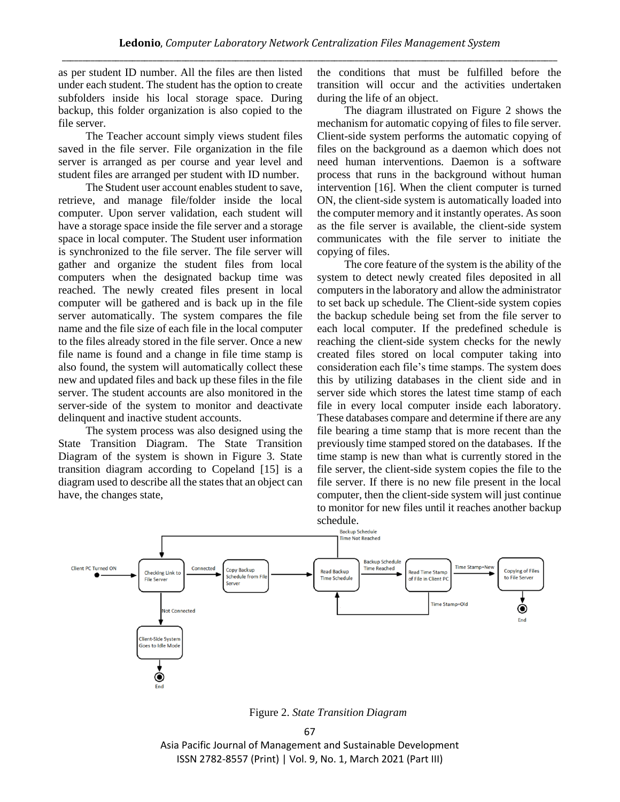as per student ID number. All the files are then listed under each student. The student has the option to create subfolders inside his local storage space. During backup, this folder organization is also copied to the file server.

The Teacher account simply views student files saved in the file server. File organization in the file server is arranged as per course and year level and student files are arranged per student with ID number.

The Student user account enables student to save, retrieve, and manage file/folder inside the local computer. Upon server validation, each student will have a storage space inside the file server and a storage space in local computer. The Student user information is synchronized to the file server. The file server will gather and organize the student files from local computers when the designated backup time was reached. The newly created files present in local computer will be gathered and is back up in the file server automatically. The system compares the file name and the file size of each file in the local computer to the files already stored in the file server. Once a new file name is found and a change in file time stamp is also found, the system will automatically collect these new and updated files and back up these files in the file server. The student accounts are also monitored in the server-side of the system to monitor and deactivate delinquent and inactive student accounts.

The system process was also designed using the State Transition Diagram. The State Transition Diagram of the system is shown in Figure 3. State transition diagram according to Copeland [15] is a diagram used to describe all the states that an object can have, the changes state,

the conditions that must be fulfilled before the transition will occur and the activities undertaken during the life of an object.

The diagram illustrated on Figure 2 shows the mechanism for automatic copying of files to file server. Client-side system performs the automatic copying of files on the background as a daemon which does not need human interventions. Daemon is a software process that runs in the background without human intervention [16]. When the client computer is turned ON, the client-side system is automatically loaded into the computer memory and it instantly operates. As soon as the file server is available, the client-side system communicates with the file server to initiate the copying of files.

The core feature of the system is the ability of the system to detect newly created files deposited in all computers in the laboratory and allow the administrator to set back up schedule. The Client-side system copies the backup schedule being set from the file server to each local computer. If the predefined schedule is reaching the client-side system checks for the newly created files stored on local computer taking into consideration each file's time stamps. The system does this by utilizing databases in the client side and in server side which stores the latest time stamp of each file in every local computer inside each laboratory. These databases compare and determine if there are any file bearing a time stamp that is more recent than the previously time stamped stored on the databases. If the time stamp is new than what is currently stored in the file server, the client-side system copies the file to the file server. If there is no new file present in the local computer, then the client-side system will just continue to monitor for new files until it reaches another backup schedule.



Figure 2. *State Transition Diagram*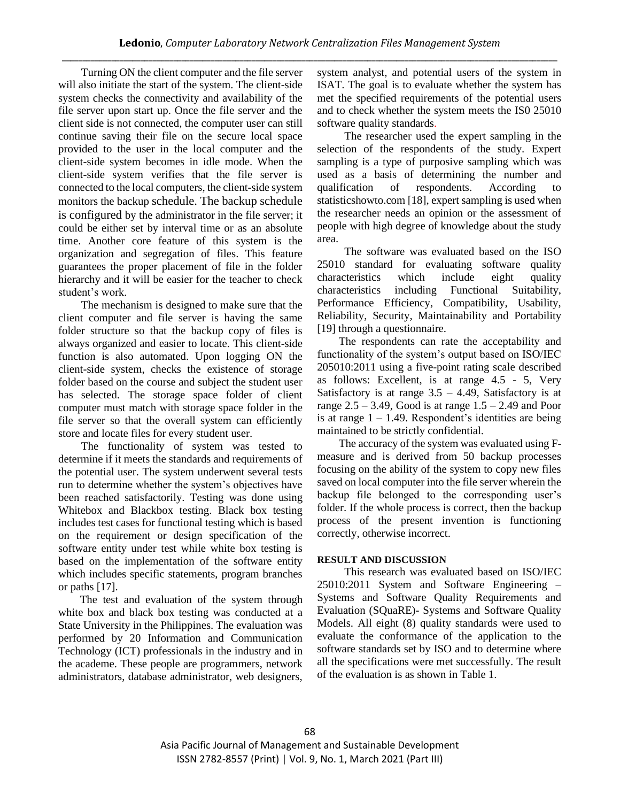Turning ON the client computer and the file server will also initiate the start of the system. The client-side system checks the connectivity and availability of the file server upon start up. Once the file server and the client side is not connected, the computer user can still continue saving their file on the secure local space provided to the user in the local computer and the client-side system becomes in idle mode. When the client-side system verifies that the file server is connected to the local computers, the client-side system monitors the backup schedule. The backup schedule is configured by the administrator in the file server; it could be either set by interval time or as an absolute time. Another core feature of this system is the organization and segregation of files. This feature guarantees the proper placement of file in the folder hierarchy and it will be easier for the teacher to check student's work.

The mechanism is designed to make sure that the client computer and file server is having the same folder structure so that the backup copy of files is always organized and easier to locate. This client-side function is also automated. Upon logging ON the client-side system, checks the existence of storage folder based on the course and subject the student user has selected. The storage space folder of client computer must match with storage space folder in the file server so that the overall system can efficiently store and locate files for every student user.

The functionality of system was tested to determine if it meets the standards and requirements of the potential user. The system underwent several tests run to determine whether the system's objectives have been reached satisfactorily. Testing was done using Whitebox and Blackbox testing. Black box testing includes test cases for functional testing which is based on the requirement or design specification of the software entity under test while white box testing is based on the implementation of the software entity which includes specific statements, program branches or paths [17].

The test and evaluation of the system through white box and black box testing was conducted at a State University in the Philippines. The evaluation was performed by 20 Information and Communication Technology (ICT) professionals in the industry and in the academe. These people are programmers, network administrators, database administrator, web designers, system analyst, and potential users of the system in ISAT. The goal is to evaluate whether the system has met the specified requirements of the potential users and to check whether the system meets the IS0 25010 software quality standards.

The researcher used the expert sampling in the selection of the respondents of the study. Expert sampling is a type of purposive sampling which was used as a basis of determining the number and qualification of respondents. According to statisticshowto.com [18], expert sampling is used when the researcher needs an opinion or the assessment of people with high degree of knowledge about the study area.

The software was evaluated based on the ISO 25010 standard for evaluating software quality characteristics which include eight quality characteristics including Functional Suitability, Performance Efficiency, Compatibility, Usability, Reliability, Security, Maintainability and Portability [19] through a questionnaire.

The respondents can rate the acceptability and functionality of the system's output based on ISO/IEC 205010:2011 using a five-point rating scale described as follows: Excellent, is at range 4.5 - 5, Very Satisfactory is at range  $3.5 - 4.49$ , Satisfactory is at range  $2.5 - 3.49$ , Good is at range  $1.5 - 2.49$  and Poor is at range  $1 - 1.49$ . Respondent's identities are being maintained to be strictly confidential.

The accuracy of the system was evaluated using Fmeasure and is derived from 50 backup processes focusing on the ability of the system to copy new files saved on local computer into the file server wherein the backup file belonged to the corresponding user's folder. If the whole process is correct, then the backup process of the present invention is functioning correctly, otherwise incorrect.

## **RESULT AND DISCUSSION**

This research was evaluated based on ISO/IEC 25010:2011 System and Software Engineering – Systems and Software Quality Requirements and Evaluation (SQuaRE)- Systems and Software Quality Models. All eight (8) quality standards were used to evaluate the conformance of the application to the software standards set by ISO and to determine where all the specifications were met successfully. The result of the evaluation is as shown in Table 1.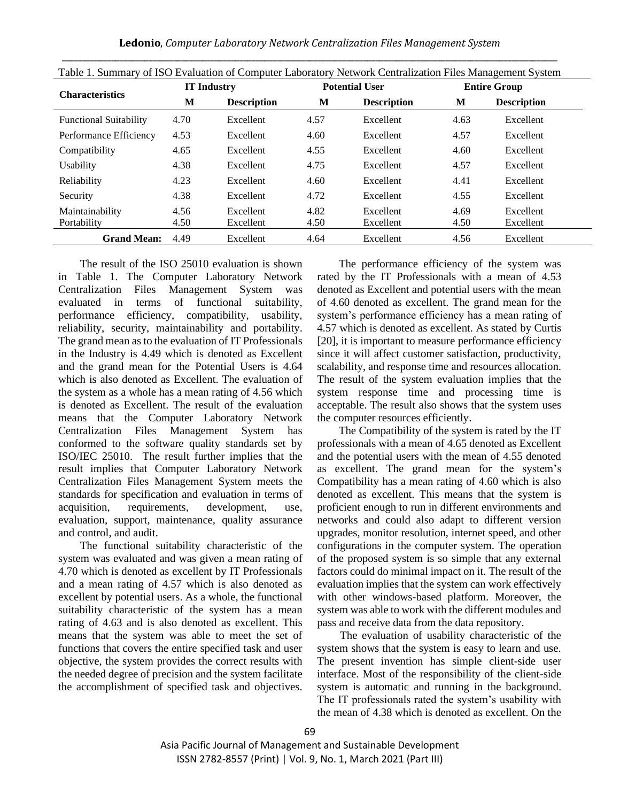**Ledonio**, *Computer Laboratory Network Centralization Files Management System* \_\_\_\_\_\_\_\_\_\_\_\_\_\_\_\_\_\_\_\_\_\_\_\_\_\_\_\_\_\_\_\_\_\_\_\_\_\_\_\_\_\_\_\_\_\_\_\_\_\_\_\_\_\_\_\_\_\_\_\_\_\_\_\_\_\_\_\_\_\_\_\_\_\_\_\_\_\_\_\_\_\_\_\_\_\_\_\_\_\_\_\_\_\_\_\_\_\_\_\_\_\_\_\_\_\_\_\_\_\_\_\_\_\_\_\_\_\_\_\_

| Table 1. Summary of ISO Evaluation of Computer Laboratory Network Centralization Files Management System |                    |                    |                       |                    |                     |                    |  |
|----------------------------------------------------------------------------------------------------------|--------------------|--------------------|-----------------------|--------------------|---------------------|--------------------|--|
| <b>Characteristics</b>                                                                                   | <b>IT Industry</b> |                    | <b>Potential User</b> |                    | <b>Entire Group</b> |                    |  |
|                                                                                                          | M                  | <b>Description</b> | M                     | <b>Description</b> | M                   | <b>Description</b> |  |
| <b>Functional Suitability</b>                                                                            | 4.70               | Excellent          | 4.57                  | Excellent          | 4.63                | Excellent          |  |
| Performance Efficiency                                                                                   | 4.53               | Excellent          | 4.60                  | Excellent          | 4.57                | Excellent          |  |
| Compatibility                                                                                            | 4.65               | Excellent          | 4.55                  | Excellent          | 4.60                | Excellent          |  |
| Usability                                                                                                | 4.38               | Excellent          | 4.75                  | Excellent          | 4.57                | Excellent          |  |
| Reliability                                                                                              | 4.23               | Excellent          | 4.60                  | Excellent          | 4.41                | Excellent          |  |
| Security                                                                                                 | 4.38               | Excellent          | 4.72                  | Excellent          | 4.55                | Excellent          |  |
| Maintainability                                                                                          | 4.56               | Excellent          | 4.82                  | Excellent          | 4.69                | Excellent          |  |
| Portability                                                                                              | 4.50               | Excellent          | 4.50                  | Excellent          | 4.50                | Excellent          |  |
| <b>Grand Mean:</b>                                                                                       | 4.49               | Excellent          | 4.64                  | Excellent          | 4.56                | Excellent          |  |

The result of the ISO 25010 evaluation is shown in Table 1. The Computer Laboratory Network Centralization Files Management System was evaluated in terms of functional suitability, performance efficiency, compatibility, usability, reliability, security, maintainability and portability. The grand mean as to the evaluation of IT Professionals in the Industry is 4.49 which is denoted as Excellent and the grand mean for the Potential Users is 4.64 which is also denoted as Excellent. The evaluation of the system as a whole has a mean rating of 4.56 which is denoted as Excellent. The result of the evaluation means that the Computer Laboratory Network Centralization Files Management System has conformed to the software quality standards set by ISO/IEC 25010. The result further implies that the result implies that Computer Laboratory Network Centralization Files Management System meets the standards for specification and evaluation in terms of acquisition, requirements, development, use, evaluation, support, maintenance, quality assurance and control, and audit.

The functional suitability characteristic of the system was evaluated and was given a mean rating of 4.70 which is denoted as excellent by IT Professionals and a mean rating of 4.57 which is also denoted as excellent by potential users. As a whole, the functional suitability characteristic of the system has a mean rating of 4.63 and is also denoted as excellent. This means that the system was able to meet the set of functions that covers the entire specified task and user objective, the system provides the correct results with the needed degree of precision and the system facilitate the accomplishment of specified task and objectives.

The performance efficiency of the system was rated by the IT Professionals with a mean of 4.53 denoted as Excellent and potential users with the mean of 4.60 denoted as excellent. The grand mean for the system's performance efficiency has a mean rating of 4.57 which is denoted as excellent. As stated by Curtis [20], it is important to measure performance efficiency since it will affect customer satisfaction, productivity, scalability, and response time and resources allocation. The result of the system evaluation implies that the system response time and processing time is acceptable. The result also shows that the system uses the computer resources efficiently.

The Compatibility of the system is rated by the IT professionals with a mean of 4.65 denoted as Excellent and the potential users with the mean of 4.55 denoted as excellent. The grand mean for the system's Compatibility has a mean rating of 4.60 which is also denoted as excellent. This means that the system is proficient enough to run in different environments and networks and could also adapt to different version upgrades, monitor resolution, internet speed, and other configurations in the computer system. The operation of the proposed system is so simple that any external factors could do minimal impact on it. The result of the evaluation implies that the system can work effectively with other windows-based platform. Moreover, the system was able to work with the different modules and pass and receive data from the data repository.

The evaluation of usability characteristic of the system shows that the system is easy to learn and use. The present invention has simple client-side user interface. Most of the responsibility of the client-side system is automatic and running in the background. The IT professionals rated the system's usability with the mean of 4.38 which is denoted as excellent. On the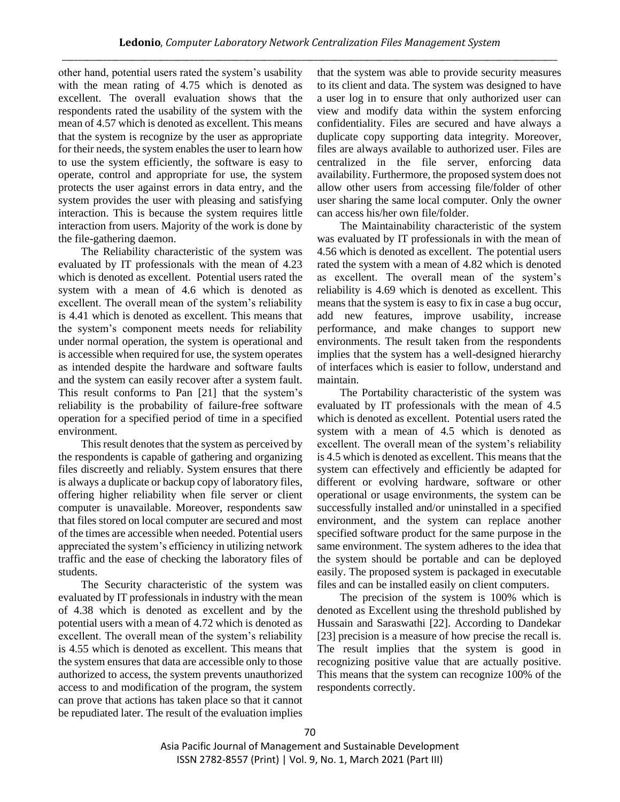other hand, potential users rated the system's usability with the mean rating of 4.75 which is denoted as excellent. The overall evaluation shows that the respondents rated the usability of the system with the mean of 4.57 which is denoted as excellent. This means that the system is recognize by the user as appropriate for their needs, the system enables the user to learn how to use the system efficiently, the software is easy to operate, control and appropriate for use, the system protects the user against errors in data entry, and the system provides the user with pleasing and satisfying interaction. This is because the system requires little interaction from users. Majority of the work is done by the file-gathering daemon.

The Reliability characteristic of the system was evaluated by IT professionals with the mean of 4.23 which is denoted as excellent. Potential users rated the system with a mean of 4.6 which is denoted as excellent. The overall mean of the system's reliability is 4.41 which is denoted as excellent. This means that the system's component meets needs for reliability under normal operation, the system is operational and is accessible when required for use, the system operates as intended despite the hardware and software faults and the system can easily recover after a system fault. This result conforms to Pan [21] that the system's reliability is the probability of failure-free software operation for a specified period of time in a specified environment.

This result denotes that the system as perceived by the respondents is capable of gathering and organizing files discreetly and reliably. System ensures that there is always a duplicate or backup copy of laboratory files, offering higher reliability when file server or client computer is unavailable. Moreover, respondents saw that files stored on local computer are secured and most of the times are accessible when needed. Potential users appreciated the system's efficiency in utilizing network traffic and the ease of checking the laboratory files of students.

The Security characteristic of the system was evaluated by IT professionals in industry with the mean of 4.38 which is denoted as excellent and by the potential users with a mean of 4.72 which is denoted as excellent. The overall mean of the system's reliability is 4.55 which is denoted as excellent. This means that the system ensures that data are accessible only to those authorized to access, the system prevents unauthorized access to and modification of the program, the system can prove that actions has taken place so that it cannot be repudiated later. The result of the evaluation implies that the system was able to provide security measures to its client and data. The system was designed to have a user log in to ensure that only authorized user can view and modify data within the system enforcing confidentiality. Files are secured and have always a duplicate copy supporting data integrity. Moreover, files are always available to authorized user. Files are centralized in the file server, enforcing data availability. Furthermore, the proposed system does not allow other users from accessing file/folder of other user sharing the same local computer. Only the owner can access his/her own file/folder.

The Maintainability characteristic of the system was evaluated by IT professionals in with the mean of 4.56 which is denoted as excellent. The potential users rated the system with a mean of 4.82 which is denoted as excellent. The overall mean of the system's reliability is 4.69 which is denoted as excellent. This means that the system is easy to fix in case a bug occur, add new features, improve usability, increase performance, and make changes to support new environments. The result taken from the respondents implies that the system has a well-designed hierarchy of interfaces which is easier to follow, understand and maintain.

The Portability characteristic of the system was evaluated by IT professionals with the mean of 4.5 which is denoted as excellent. Potential users rated the system with a mean of 4.5 which is denoted as excellent. The overall mean of the system's reliability is 4.5 which is denoted as excellent. This means that the system can effectively and efficiently be adapted for different or evolving hardware, software or other operational or usage environments, the system can be successfully installed and/or uninstalled in a specified environment, and the system can replace another specified software product for the same purpose in the same environment. The system adheres to the idea that the system should be portable and can be deployed easily. The proposed system is packaged in executable files and can be installed easily on client computers.

The precision of the system is 100% which is denoted as Excellent using the threshold published by Hussain and Saraswathi [22]. According to Dandekar [23] precision is a measure of how precise the recall is. The result implies that the system is good in recognizing positive value that are actually positive. This means that the system can recognize 100% of the respondents correctly.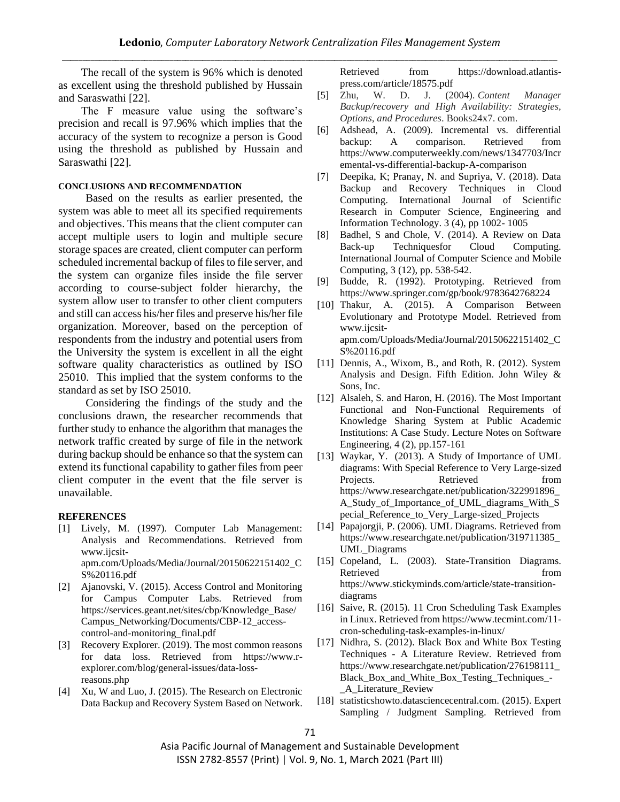The recall of the system is 96% which is denoted as excellent using the threshold published by Hussain and Saraswathi [22].

The F measure value using the software's precision and recall is 97.96% which implies that the accuracy of the system to recognize a person is Good using the threshold as published by Hussain and Saraswathi [22].

#### **CONCLUSIONS AND RECOMMENDATION**

Based on the results as earlier presented, the system was able to meet all its specified requirements and objectives. This means that the client computer can accept multiple users to login and multiple secure storage spaces are created, client computer can perform scheduled incremental backup of files to file server, and the system can organize files inside the file server according to course-subject folder hierarchy, the system allow user to transfer to other client computers and still can access his/her files and preserve his/her file organization. Moreover, based on the perception of respondents from the industry and potential users from the University the system is excellent in all the eight software quality characteristics as outlined by ISO 25010. This implied that the system conforms to the standard as set by ISO 25010.

Considering the findings of the study and the conclusions drawn, the researcher recommends that further study to enhance the algorithm that manages the network traffic created by surge of file in the network during backup should be enhance so that the system can extend its functional capability to gather files from peer client computer in the event that the file server is unavailable.

#### **REFERENCES**

- [1] Lively, M. (1997). Computer Lab Management: Analysis and Recommendations. Retrieved from www.ijcsitapm.com/Uploads/Media/Journal/20150622151402\_C S%20116.pdf
- [2] Ajanovski, V. (2015). Access Control and Monitoring for Campus Computer Labs. Retrieved from https://services.geant.net/sites/cbp/Knowledge\_Base/ Campus\_Networking/Documents/CBP-12\_accesscontrol-and-monitoring\_final.pdf
- [3] Recovery Explorer. (2019). The most common reasons for data loss. Retrieved from https://www.rexplorer.com/blog/general-issues/data-lossreasons.php
- [4] Xu, W and Luo, J. (2015). The Research on Electronic Data Backup and Recovery System Based on Network.

Retrieved from https://download.atlantispress.com/article/18575.pdf

- [5] Zhu, W. D. J. (2004). *Content Manager Backup/recovery and High Availability: Strategies, Options, and Procedures*. Books24x7. com.
- [6] Adshead, A. (2009). Incremental vs. differential backup: A comparison. Retrieved from https://www.computerweekly.com/news/1347703/Incr emental-vs-differential-backup-A-comparison
- [7] Deepika, K; Pranay, N. and Supriya, V. (2018). Data Backup and Recovery Techniques in Cloud Computing. International Journal of Scientific Research in Computer Science, Engineering and Information Technology. 3 (4), pp 1002- 1005
- [8] Badhel, S and Chole, V. (2014). A Review on Data Back-up Techniquesfor Cloud Computing. International Journal of Computer Science and Mobile Computing, 3 (12), pp. 538-542.
- [9] Budde, R. (1992). Prototyping. Retrieved from https://www.springer.com/gp/book/9783642768224
- [10] Thakur, A. (2015). A Comparison Between Evolutionary and Prototype Model. Retrieved from www.ijcsitapm.com/Uploads/Media/Journal/20150622151402\_C S%20116.pdf
- [11] Dennis, A., Wixom, B., and Roth, R. (2012). System Analysis and Design. Fifth Edition. John Wiley & Sons, Inc.
- [12] Alsaleh, S. and Haron, H. (2016). The Most Important Functional and Non-Functional Requirements of Knowledge Sharing System at Public Academic Institutions: A Case Study. Lecture Notes on Software Engineering, 4 (2), pp.157-161
- [13] Waykar, Y. (2013). A Study of Importance of UML diagrams: With Special Reference to Very Large-sized Projects. Retrieved from https://www.researchgate.net/publication/322991896\_ A\_Study\_of\_Importance\_of\_UML\_diagrams\_With\_S pecial\_Reference\_to\_Very\_Large-sized\_Projects
- [14] Papajorgji, P. (2006). UML Diagrams. Retrieved from https://www.researchgate.net/publication/319711385\_ UML\_Diagrams
- [15] Copeland, L. (2003). State-Transition Diagrams. Retrieved from  $\sim$ https://www.stickyminds.com/article/state-transitiondiagrams
- [16] Saive, R. (2015). 11 Cron Scheduling Task Examples in Linux. Retrieved from https://www.tecmint.com/11 cron-scheduling-task-examples-in-linux/
- [17] Nidhra, S. (2012). Black Box and White Box Testing Techniques - A Literature Review. Retrieved from https://www.researchgate.net/publication/276198111\_ Black\_Box\_and\_White\_Box\_Testing\_Techniques\_- \_A\_Literature\_Review
- [18] statisticshowto.datasciencecentral.com. (2015). Expert Sampling / Judgment Sampling. Retrieved from